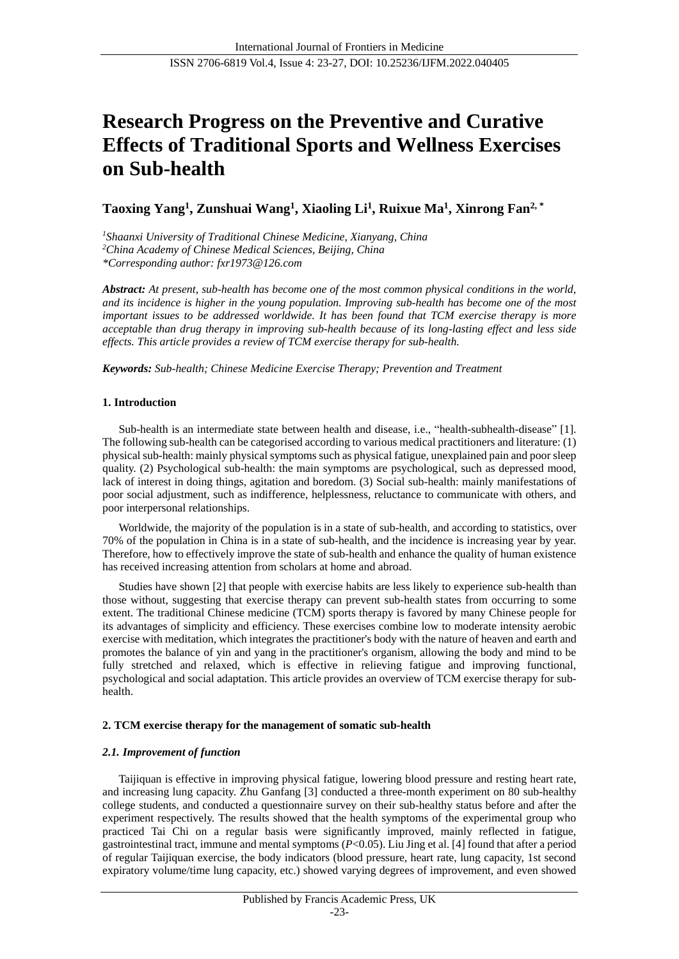# **Research Progress on the Preventive and Curative Effects of Traditional Sports and Wellness Exercises on Sub-health**

**Taoxing Yang<sup>1</sup> , Zunshuai Wang<sup>1</sup> , Xiaoling Li<sup>1</sup> , Ruixue Ma<sup>1</sup> , Xinrong Fan2, \***

*<sup>1</sup>Shaanxi University of Traditional Chinese Medicine, Xianyang, China <sup>2</sup>China Academy of Chinese Medical Sciences, Beijing, China \*Corresponding author: fxr1973@126.com*

*Abstract: At present, sub-health has become one of the most common physical conditions in the world, and its incidence is higher in the young population. Improving sub-health has become one of the most important issues to be addressed worldwide. It has been found that TCM exercise therapy is more acceptable than drug therapy in improving sub-health because of its long-lasting effect and less side effects. This article provides a review of TCM exercise therapy for sub-health.*

*Keywords: Sub-health; Chinese Medicine Exercise Therapy; Prevention and Treatment*

# **1. Introduction**

Sub-health is an intermediate state between health and disease, i.e., "health-subhealth-disease" [1]. The following sub-health can be categorised according to various medical practitioners and literature: (1) physical sub-health: mainly physical symptoms such as physical fatigue, unexplained pain and poor sleep quality. (2) Psychological sub-health: the main symptoms are psychological, such as depressed mood, lack of interest in doing things, agitation and boredom. (3) Social sub-health: mainly manifestations of poor social adjustment, such as indifference, helplessness, reluctance to communicate with others, and poor interpersonal relationships.

Worldwide, the majority of the population is in a state of sub-health, and according to statistics, over 70% of the population in China is in a state of sub-health, and the incidence is increasing year by year. Therefore, how to effectively improve the state of sub-health and enhance the quality of human existence has received increasing attention from scholars at home and abroad.

Studies have shown [2] that people with exercise habits are less likely to experience sub-health than those without, suggesting that exercise therapy can prevent sub-health states from occurring to some extent. The traditional Chinese medicine (TCM) sports therapy is favored by many Chinese people for its advantages of simplicity and efficiency. These exercises combine low to moderate intensity aerobic exercise with meditation, which integrates the practitioner's body with the nature of heaven and earth and promotes the balance of yin and yang in the practitioner's organism, allowing the body and mind to be fully stretched and relaxed, which is effective in relieving fatigue and improving functional, psychological and social adaptation. This article provides an overview of TCM exercise therapy for subhealth.

# **2. TCM exercise therapy for the management of somatic sub-health**

# *2.1. Improvement of function*

Taijiquan is effective in improving physical fatigue, lowering blood pressure and resting heart rate, and increasing lung capacity. Zhu Ganfang [3] conducted a three-month experiment on 80 sub-healthy college students, and conducted a questionnaire survey on their sub-healthy status before and after the experiment respectively. The results showed that the health symptoms of the experimental group who practiced Tai Chi on a regular basis were significantly improved, mainly reflected in fatigue, gastrointestinal tract, immune and mental symptoms (*P*<0.05). Liu Jing et al. [4] found that after a period of regular Taijiquan exercise, the body indicators (blood pressure, heart rate, lung capacity, 1st second expiratory volume/time lung capacity, etc.) showed varying degrees of improvement, and even showed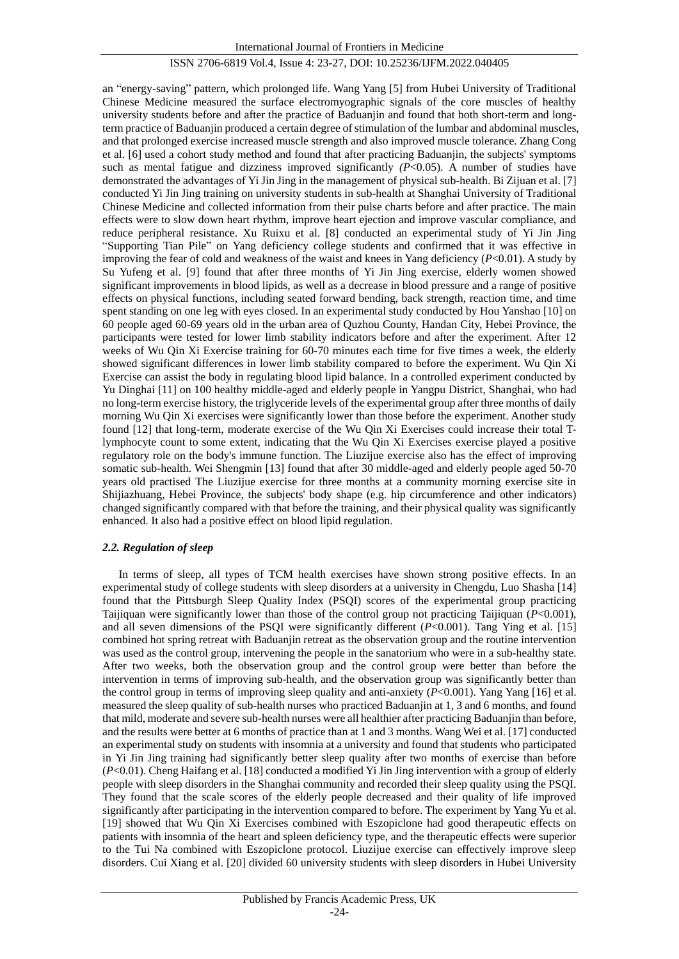an "energy-saving" pattern, which prolonged life. Wang Yang [5] from Hubei University of Traditional Chinese Medicine measured the surface electromyographic signals of the core muscles of healthy university students before and after the practice of Baduanjin and found that both short-term and longterm practice of Baduanjin produced a certain degree of stimulation of the lumbar and abdominal muscles, and that prolonged exercise increased muscle strength and also improved muscle tolerance. Zhang Cong et al. [6] used a cohort study method and found that after practicing Baduanjin, the subjects' symptoms such as mental fatigue and dizziness improved significantly  $(P<0.05)$ . A number of studies have demonstrated the advantages of Yi Jin Jing in the management of physical sub-health. Bi Zijuan et al. [7] conducted Yi Jin Jing training on university students in sub-health at Shanghai University of Traditional Chinese Medicine and collected information from their pulse charts before and after practice. The main effects were to slow down heart rhythm, improve heart ejection and improve vascular compliance, and reduce peripheral resistance. Xu Ruixu et al. [8] conducted an experimental study of Yi Jin Jing "Supporting Tian Pile" on Yang deficiency college students and confirmed that it was effective in improving the fear of cold and weakness of the waist and knees in Yang deficiency (*P*<0.01). A study by Su Yufeng et al. [9] found that after three months of Yi Jin Jing exercise, elderly women showed significant improvements in blood lipids, as well as a decrease in blood pressure and a range of positive effects on physical functions, including seated forward bending, back strength, reaction time, and time spent standing on one leg with eyes closed. In an experimental study conducted by Hou Yanshao [10] on 60 people aged 60-69 years old in the urban area of Quzhou County, Handan City, Hebei Province, the participants were tested for lower limb stability indicators before and after the experiment. After 12 weeks of Wu Qin Xi Exercise training for 60-70 minutes each time for five times a week, the elderly showed significant differences in lower limb stability compared to before the experiment. Wu Qin Xi Exercise can assist the body in regulating blood lipid balance. In a controlled experiment conducted by Yu Dinghai [11] on 100 healthy middle-aged and elderly people in Yangpu District, Shanghai, who had no long-term exercise history, the triglyceride levels of the experimental group after three months of daily morning Wu Qin Xi exercises were significantly lower than those before the experiment. Another study found [12] that long-term, moderate exercise of the Wu Qin Xi Exercises could increase their total Tlymphocyte count to some extent, indicating that the Wu Qin Xi Exercises exercise played a positive regulatory role on the body's immune function. The Liuzijue exercise also has the effect of improving somatic sub-health. Wei Shengmin [13] found that after 30 middle-aged and elderly people aged 50-70 years old practised The Liuzijue exercise for three months at a community morning exercise site in Shijiazhuang, Hebei Province, the subjects' body shape (e.g. hip circumference and other indicators) changed significantly compared with that before the training, and their physical quality was significantly enhanced. It also had a positive effect on blood lipid regulation.

## *2.2. Regulation of sleep*

In terms of sleep, all types of TCM health exercises have shown strong positive effects. In an experimental study of college students with sleep disorders at a university in Chengdu, Luo Shasha [14] found that the Pittsburgh Sleep Quality Index (PSQI) scores of the experimental group practicing Taijiquan were significantly lower than those of the control group not practicing Taijiquan (*P*<0.001), and all seven dimensions of the PSQI were significantly different  $(P<0.001)$ . Tang Ying et al. [15] combined hot spring retreat with Baduanjin retreat as the observation group and the routine intervention was used as the control group, intervening the people in the sanatorium who were in a sub-healthy state. After two weeks, both the observation group and the control group were better than before the intervention in terms of improving sub-health, and the observation group was significantly better than the control group in terms of improving sleep quality and anti-anxiety (*P*<0.001). Yang Yang [16] et al. measured the sleep quality of sub-health nurses who practiced Baduanjin at 1, 3 and 6 months, and found that mild, moderate and severe sub-health nurses were all healthier after practicing Baduanjin than before, and the results were better at 6 months of practice than at 1 and 3 months. Wang Wei et al. [17] conducted an experimental study on students with insomnia at a university and found that students who participated in Yi Jin Jing training had significantly better sleep quality after two months of exercise than before (*P*<0.01). Cheng Haifang et al. [18] conducted a modified Yi Jin Jing intervention with a group of elderly people with sleep disorders in the Shanghai community and recorded their sleep quality using the PSQI. They found that the scale scores of the elderly people decreased and their quality of life improved significantly after participating in the intervention compared to before. The experiment by Yang Yu et al. [19] showed that Wu Qin Xi Exercises combined with Eszopiclone had good therapeutic effects on patients with insomnia of the heart and spleen deficiency type, and the therapeutic effects were superior to the Tui Na combined with Eszopiclone protocol. Liuzijue exercise can effectively improve sleep disorders. Cui Xiang et al. [20] divided 60 university students with sleep disorders in Hubei University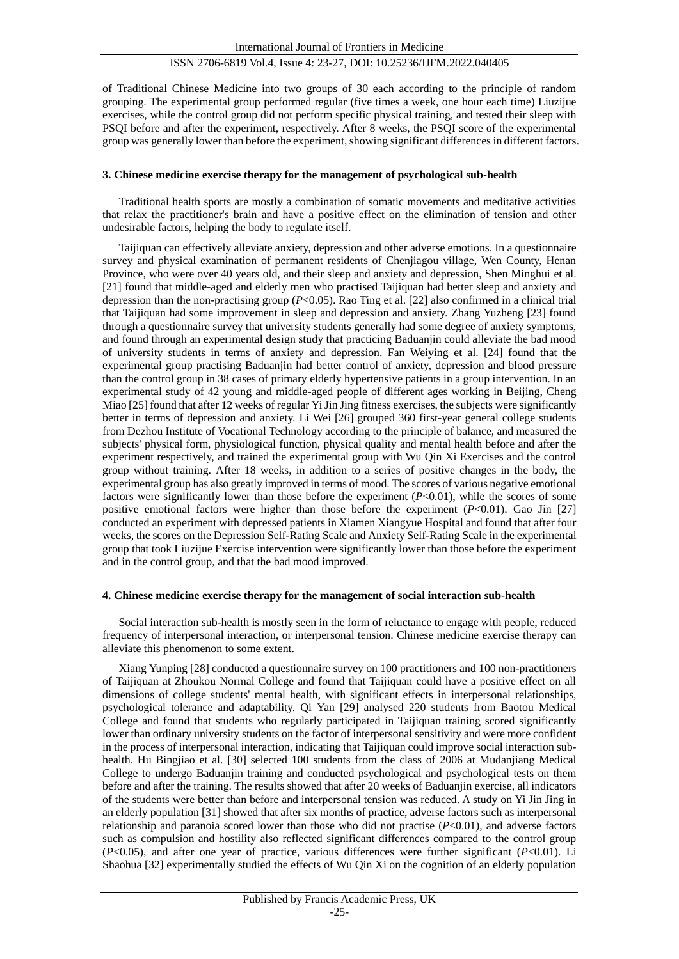of Traditional Chinese Medicine into two groups of 30 each according to the principle of random grouping. The experimental group performed regular (five times a week, one hour each time) Liuzijue exercises, while the control group did not perform specific physical training, and tested their sleep with PSQI before and after the experiment, respectively. After 8 weeks, the PSQI score of the experimental group was generally lower than before the experiment, showing significant differences in different factors.

#### **3. Chinese medicine exercise therapy for the management of psychological sub-health**

Traditional health sports are mostly a combination of somatic movements and meditative activities that relax the practitioner's brain and have a positive effect on the elimination of tension and other undesirable factors, helping the body to regulate itself.

Taijiquan can effectively alleviate anxiety, depression and other adverse emotions. In a questionnaire survey and physical examination of permanent residents of Chenjiagou village, Wen County, Henan Province, who were over 40 years old, and their sleep and anxiety and depression, Shen Minghui et al. [21] found that middle-aged and elderly men who practised Taijiquan had better sleep and anxiety and depression than the non-practising group (*P*<0.05). Rao Ting et al. [22] also confirmed in a clinical trial that Taijiquan had some improvement in sleep and depression and anxiety. Zhang Yuzheng [23] found through a questionnaire survey that university students generally had some degree of anxiety symptoms, and found through an experimental design study that practicing Baduanjin could alleviate the bad mood of university students in terms of anxiety and depression. Fan Weiying et al. [24] found that the experimental group practising Baduanjin had better control of anxiety, depression and blood pressure than the control group in 38 cases of primary elderly hypertensive patients in a group intervention. In an experimental study of 42 young and middle-aged people of different ages working in Beijing, Cheng Miao [25] found that after 12 weeks of regular Yi Jin Jing fitness exercises, the subjects were significantly better in terms of depression and anxiety. Li Wei [26] grouped 360 first-year general college students from Dezhou Institute of Vocational Technology according to the principle of balance, and measured the subjects' physical form, physiological function, physical quality and mental health before and after the experiment respectively, and trained the experimental group with Wu Qin Xi Exercises and the control group without training. After 18 weeks, in addition to a series of positive changes in the body, the experimental group has also greatly improved in terms of mood. The scores of various negative emotional factors were significantly lower than those before the experiment  $(P<0.01)$ , while the scores of some positive emotional factors were higher than those before the experiment (*P*<0.01). Gao Jin [27] conducted an experiment with depressed patients in Xiamen Xiangyue Hospital and found that after four weeks, the scores on the Depression Self-Rating Scale and Anxiety Self-Rating Scale in the experimental group that took Liuzijue Exercise intervention were significantly lower than those before the experiment and in the control group, and that the bad mood improved.

## **4. Chinese medicine exercise therapy for the management of social interaction sub-health**

Social interaction sub-health is mostly seen in the form of reluctance to engage with people, reduced frequency of interpersonal interaction, or interpersonal tension. Chinese medicine exercise therapy can alleviate this phenomenon to some extent.

Xiang Yunping [28] conducted a questionnaire survey on 100 practitioners and 100 non-practitioners of Taijiquan at Zhoukou Normal College and found that Taijiquan could have a positive effect on all dimensions of college students' mental health, with significant effects in interpersonal relationships, psychological tolerance and adaptability. Qi Yan [29] analysed 220 students from Baotou Medical College and found that students who regularly participated in Taijiquan training scored significantly lower than ordinary university students on the factor of interpersonal sensitivity and were more confident in the process of interpersonal interaction, indicating that Taijiquan could improve social interaction subhealth. Hu Bingjiao et al. [30] selected 100 students from the class of 2006 at Mudanjiang Medical College to undergo Baduanjin training and conducted psychological and psychological tests on them before and after the training. The results showed that after 20 weeks of Baduanjin exercise, all indicators of the students were better than before and interpersonal tension was reduced. A study on Yi Jin Jing in an elderly population [31] showed that after six months of practice, adverse factors such as interpersonal relationship and paranoia scored lower than those who did not practise (*P*<0.01), and adverse factors such as compulsion and hostility also reflected significant differences compared to the control group (*P*<0.05), and after one year of practice, various differences were further significant (*P*<0.01). Li Shaohua [32] experimentally studied the effects of Wu Qin Xi on the cognition of an elderly population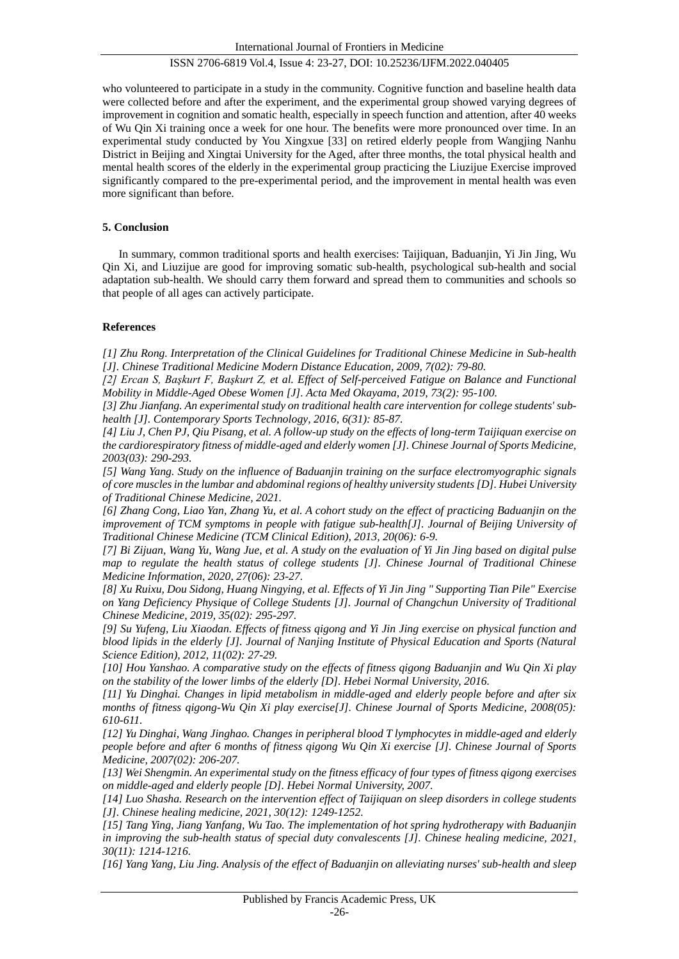who volunteered to participate in a study in the community. Cognitive function and baseline health data were collected before and after the experiment, and the experimental group showed varying degrees of improvement in cognition and somatic health, especially in speech function and attention, after 40 weeks of Wu Qin Xi training once a week for one hour. The benefits were more pronounced over time. In an experimental study conducted by You Xingxue [33] on retired elderly people from Wangjing Nanhu District in Beijing and Xingtai University for the Aged, after three months, the total physical health and mental health scores of the elderly in the experimental group practicing the Liuzijue Exercise improved significantly compared to the pre-experimental period, and the improvement in mental health was even more significant than before.

## **5. Conclusion**

In summary, common traditional sports and health exercises: Taijiquan, Baduanjin, Yi Jin Jing, Wu Qin Xi, and Liuzijue are good for improving somatic sub-health, psychological sub-health and social adaptation sub-health. We should carry them forward and spread them to communities and schools so that people of all ages can actively participate.

## **References**

*[1] Zhu Rong. Interpretation of the Clinical Guidelines for Traditional Chinese Medicine in Sub-health [J]. Chinese Traditional Medicine Modern Distance Education, 2009, 7(02): 79-80.*

*[2] Ercan S, Başkurt F, Başkurt Z, et al. Effect of Self-perceived Fatigue on Balance and Functional Mobility in Middle-Aged Obese Women [J]. Acta Med Okayama, 2019, 73(2): 95-100.*

*[3] Zhu Jianfang. An experimental study on traditional health care intervention for college students' subhealth [J]. Contemporary Sports Technology, 2016, 6(31): 85-87.*

*[4] Liu J, Chen PJ, Qiu Pisang, et al. A follow-up study on the effects of long-term Taijiquan exercise on the cardiorespiratory fitness of middle-aged and elderly women [J]. Chinese Journal of Sports Medicine, 2003(03): 290-293.*

*[5] Wang Yang. Study on the influence of Baduanjin training on the surface electromyographic signals of core muscles in the lumbar and abdominal regions of healthy university students [D]. Hubei University of Traditional Chinese Medicine, 2021.*

*[6] Zhang Cong, Liao Yan, Zhang Yu, et al. A cohort study on the effect of practicing Baduanjin on the improvement of TCM symptoms in people with fatigue sub-health[J]. Journal of Beijing University of Traditional Chinese Medicine (TCM Clinical Edition), 2013, 20(06): 6-9.*

*[7] Bi Zijuan, Wang Yu, Wang Jue, et al. A study on the evaluation of Yi Jin Jing based on digital pulse map to regulate the health status of college students [J]. Chinese Journal of Traditional Chinese Medicine Information, 2020, 27(06): 23-27.*

*[8] Xu Ruixu, Dou Sidong, Huang Ningying, et al. Effects of Yi Jin Jing " Supporting Tian Pile" Exercise on Yang Deficiency Physique of College Students [J]. Journal of Changchun University of Traditional Chinese Medicine, 2019, 35(02): 295-297.*

*[9] Su Yufeng, Liu Xiaodan. Effects of fitness qigong and Yi Jin Jing exercise on physical function and blood lipids in the elderly [J]. Journal of Nanjing Institute of Physical Education and Sports (Natural Science Edition), 2012, 11(02): 27-29.*

*[10] Hou Yanshao. A comparative study on the effects of fitness qigong Baduanjin and Wu Qin Xi play on the stability of the lower limbs of the elderly [D]. Hebei Normal University, 2016.*

*[11] Yu Dinghai. Changes in lipid metabolism in middle-aged and elderly people before and after six months of fitness qigong-Wu Qin Xi play exercise[J]. Chinese Journal of Sports Medicine, 2008(05): 610-611.*

*[12] Yu Dinghai, Wang Jinghao. Changes in peripheral blood T lymphocytes in middle-aged and elderly people before and after 6 months of fitness qigong Wu Qin Xi exercise [J]. Chinese Journal of Sports Medicine, 2007(02): 206-207.*

*[13] Wei Shengmin. An experimental study on the fitness efficacy of four types of fitness qigong exercises on middle-aged and elderly people [D]. Hebei Normal University, 2007.*

*[14] Luo Shasha. Research on the intervention effect of Taijiquan on sleep disorders in college students [J]. Chinese healing medicine, 2021, 30(12): 1249-1252.*

*[15] Tang Ying, Jiang Yanfang, Wu Tao. The implementation of hot spring hydrotherapy with Baduanjin in improving the sub-health status of special duty convalescents [J]. Chinese healing medicine, 2021, 30(11): 1214-1216.*

*[16] Yang Yang, Liu Jing. Analysis of the effect of Baduanjin on alleviating nurses' sub-health and sleep*